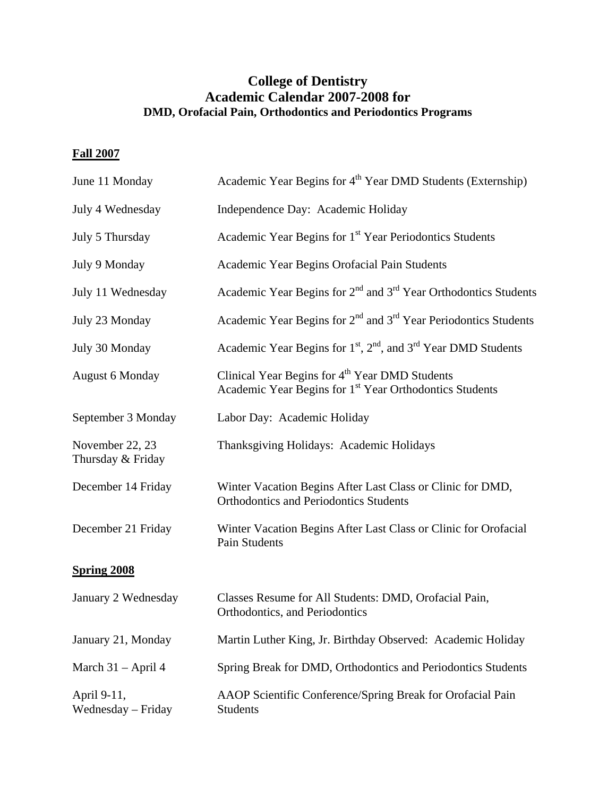## **College of Dentistry Academic Calendar 2007-2008 for DMD, Orofacial Pain, Orthodontics and Periodontics Programs**

## **Fall 2007**

| June 11 Monday                       | Academic Year Begins for 4 <sup>th</sup> Year DMD Students (Externship)                                                           |
|--------------------------------------|-----------------------------------------------------------------------------------------------------------------------------------|
| July 4 Wednesday                     | Independence Day: Academic Holiday                                                                                                |
| July 5 Thursday                      | Academic Year Begins for 1 <sup>st</sup> Year Periodontics Students                                                               |
| July 9 Monday                        | Academic Year Begins Orofacial Pain Students                                                                                      |
| July 11 Wednesday                    | Academic Year Begins for 2 <sup>nd</sup> and 3 <sup>rd</sup> Year Orthodontics Students                                           |
| July 23 Monday                       | Academic Year Begins for 2 <sup>nd</sup> and 3 <sup>rd</sup> Year Periodontics Students                                           |
| July 30 Monday                       | Academic Year Begins for $1st$ , $2nd$ , and $3rd$ Year DMD Students                                                              |
| <b>August 6 Monday</b>               | Clinical Year Begins for 4 <sup>th</sup> Year DMD Students<br>Academic Year Begins for 1 <sup>st</sup> Year Orthodontics Students |
| September 3 Monday                   | Labor Day: Academic Holiday                                                                                                       |
| November 22, 23<br>Thursday & Friday | Thanksgiving Holidays: Academic Holidays                                                                                          |
| December 14 Friday                   | Winter Vacation Begins After Last Class or Clinic for DMD,<br><b>Orthodontics and Periodontics Students</b>                       |
| December 21 Friday                   | Winter Vacation Begins After Last Class or Clinic for Orofacial<br>Pain Students                                                  |
| <b>Spring 2008</b>                   |                                                                                                                                   |
| January 2 Wednesday                  | Classes Resume for All Students: DMD, Orofacial Pain,<br>Orthodontics, and Periodontics                                           |
| January 21, Monday                   | Martin Luther King, Jr. Birthday Observed: Academic Holiday                                                                       |
| March 31 – April 4                   | Spring Break for DMD, Orthodontics and Periodontics Students                                                                      |
| April 9-11,<br>Wednesday - Friday    | AAOP Scientific Conference/Spring Break for Orofacial Pain<br><b>Students</b>                                                     |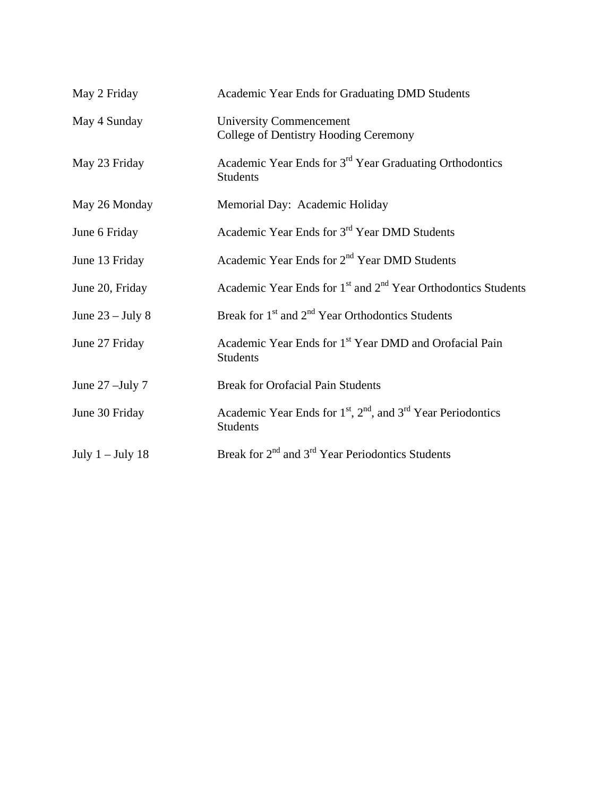| May 2 Friday       | Academic Year Ends for Graduating DMD Students                                         |
|--------------------|----------------------------------------------------------------------------------------|
| May 4 Sunday       | <b>University Commencement</b><br>College of Dentistry Hooding Ceremony                |
| May 23 Friday      | Academic Year Ends for 3 <sup>rd</sup> Year Graduating Orthodontics<br><b>Students</b> |
| May 26 Monday      | Memorial Day: Academic Holiday                                                         |
| June 6 Friday      | Academic Year Ends for 3 <sup>rd</sup> Year DMD Students                               |
| June 13 Friday     | Academic Year Ends for 2 <sup>nd</sup> Year DMD Students                               |
| June 20, Friday    | Academic Year Ends for 1 <sup>st</sup> and 2 <sup>nd</sup> Year Orthodontics Students  |
| June $23 -$ July 8 | Break for $1st$ and $2nd$ Year Orthodontics Students                                   |
| June 27 Friday     | Academic Year Ends for 1 <sup>st</sup> Year DMD and Orofacial Pain<br><b>Students</b>  |
| June $27$ –July 7  | <b>Break for Orofacial Pain Students</b>                                               |
| June 30 Friday     | Academic Year Ends for $1st$ , $2nd$ , and $3rd$ Year Periodontics<br><b>Students</b>  |
| July $1 -$ July 18 | Break for $2^{nd}$ and $3^{rd}$ Year Periodontics Students                             |